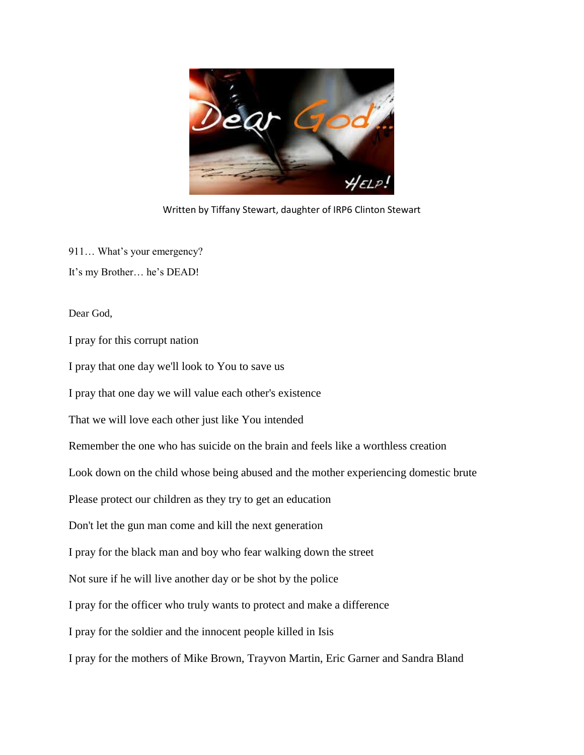

Written by Tiffany Stewart, daughter of IRP6 Clinton Stewart

911… What's your emergency? It's my Brother… he's DEAD!

Dear God,

I pray for this corrupt nation

I pray that one day we'll look to You to save us

I pray that one day we will value each other's existence

That we will love each other just like You intended

Remember the one who has suicide on the brain and feels like a worthless creation

Look down on the child whose being abused and the mother experiencing domestic brute

Please protect our children as they try to get an education

Don't let the gun man come and kill the next generation

I pray for the black man and boy who fear walking down the street

Not sure if he will live another day or be shot by the police

I pray for the officer who truly wants to protect and make a difference

I pray for the soldier and the innocent people killed in Isis

I pray for the mothers of Mike Brown, Trayvon Martin, Eric Garner and Sandra Bland